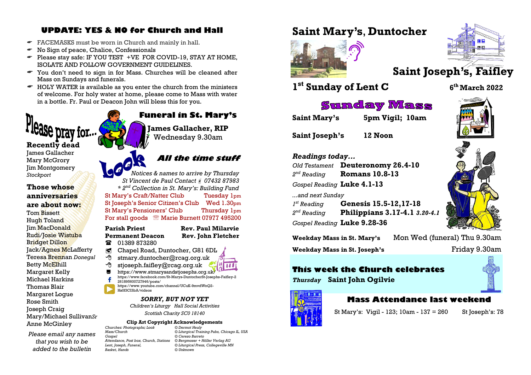# **UPDATE: YES & NO for Church and Hall**

- FACEMASKS must be worn in Church and mainly in hall.
- $\bullet$  No Sign of peace, Chalice, Confessionals
- $\bullet$  Please stay safe: IF YOU TEST +VE FOR COVID-19, STAY AT HOME, ISOLATE AND FOLLOW GOVERNMENT GUIDELINES.
- You don't need to sign in for Mass. Churches will be cleaned after Mass on Sundays and funerals.
- $\bullet$  HOLY WATER is available as you enter the church from the ministers of welcome. For holy water at home, please come to Mass with water in a bottle. Fr. Paul or Deacon John will bless this for you.

# Se prav for...

**Recently dead**

James Gallacher Mary McGrory Jim Montgomery *Stockport*

#### **Those whose anniversaries are about now:** Tom Bissett Hugh Toland Jim MacDonald Rudi/Josie Wistuba Bridget Dillon Jack/Agnes McLafferty Teresa Brennan *Donegal* Betty McElhill Margaret Kelly Michael Harkins Thomas Blair Margaret Logue Rose Smith Joseph Craig Mary/Michael Sullivan*Sr*

Anne McGinley

*Please email any names that you wish to be added to the bulletin* 

**Funeral in St. Mary's James Gallacher, RIP** Wednesday 9.30am

# **All the time stuff**

*Notices & names to arrive by Thursday St Vincent de Paul Contact 07432 87983 \* 2nd Collection in St. Mary's: Building Fund* St Mary's Craft/Natter Club Tuesday 1pm St Joseph's Senior Citizen's Club Wed 1.30pm St Mary's Pensioners' Club Thursday 1pm For stall goods <sup>®</sup> Marie Burnett 07977 495200

#### **Parish Priest Rev. Paul Milarvie Permanent Deacon Rev. John Fletcher**

- **12** 01389 873280
- Chapel Road, Duntocher, G81 6DL
- $\Theta$  stmary.duntocher@rcag.org.uk
- $\partial$  stjoseph.faifley@rcag.org.uk
	- <https://www.stmarysandstjosephs.org.uk/>
	- [https://www.facebook.com/St-Marys-DuntocherSt-Josephs-Faifley-2](https://www.facebook.com/St-Marys-DuntocherSt-Josephs-Faifley-2261895600727946/posts/) [261895600727946/posts/](https://www.facebook.com/St-Marys-DuntocherSt-Josephs-Faifley-2261895600727946/posts/) [https://www.youtube.com/channel/UCuK-9mvdWnQ2-](https://www.youtube.com/channel/UCuK-9mvdWnQ2-Hs0f3CI3bA/videos)
	- [Hs0f3CI3bA/videos](https://www.youtube.com/channel/UCuK-9mvdWnQ2-Hs0f3CI3bA/videos)

#### *SORRY, BUT NOT YET*

*Children's Liturgy Hall Social Activities Scottish Charity SC0 18140*

# **Clip Art Copyright Acknowledgements**<br>botographs: Look<br>
© Dermot Healy

*Churches: Photographs; Look © Dermot Healy Attendance, Post box, Church, Stations © Bergmoser + Höller Verlag AG Basket, Hands © Unknown*

*Mass/Church © Liturgical Training Pubs, Chicago IL, USA Gospel © Cerezo Barreto*  $©$ *Liturgical Press, Collegeville MN* 

# **Saint Mary's**, **Duntocher**



# **Saint Joseph's, Faifley**

# **1 st Sunday of Lent C <sup>6</sup>**

#### **th March 2022**

# **Sunday Mass**

**Saint Mary's 5pm Vigil; 10am**

**Saint Joseph's 12 Noon**

#### *Readings today...*

*Old Testament* **Deuteronomy 26.4-10**  $2<sup>nd</sup>$  Reading *nd Reading* **Romans 10.8-13** *Gospel Reading* **Luke 4.1-13** *...and next Sunday 1<sup>st</sup> Reading st Reading* **Genesis 15.5-12,17-18**  $2<sup>nd</sup>$  Reading *nd Reading* **Philippians 3.17-4.1** *3.20-4.1*

*Gospel Reading* **Luke 9.28-36**



**Weekday Mass in St. Joseph's Friday 9.30am** 

# **This week the Church celebrates**

*Thursday* **Saint John Ogilvie**



#### **Mass Attendance last weekend**

St Mary's: Vigil - 123; 10am - 137 = 260 St Joseph's: 78